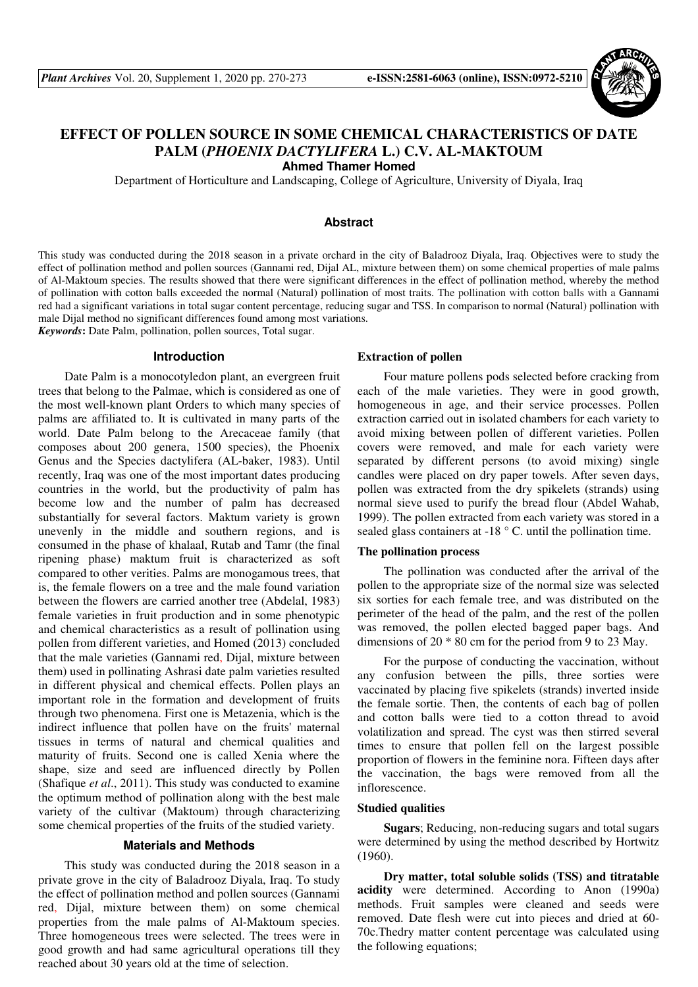

# **EFFECT OF POLLEN SOURCE IN SOME CHEMICAL CHARACTERISTICS OF DATE PALM (***PHOENIX DACTYLIFERA* **L.) C.V. AL-MAKTOUM**

**Ahmed Thamer Homed** 

Department of Horticulture and Landscaping, College of Agriculture, University of Diyala, Iraq

### **Abstract**

This study was conducted during the 2018 season in a private orchard in the city of Baladrooz Diyala, Iraq. Objectives were to study the effect of pollination method and pollen sources (Gannami red, Dijal AL, mixture between them) on some chemical properties of male palms of Al-Maktoum species. The results showed that there were significant differences in the effect of pollination method, whereby the method of pollination with cotton balls exceeded the normal (Natural) pollination of most traits. The pollination with cotton balls with a Gannami red had a significant variations in total sugar content percentage, reducing sugar and TSS. In comparison to normal (Natural) pollination with male Dijal method no significant differences found among most variations.

*Keywords***:** Date Palm, pollination, pollen sources, Total sugar.

### **Introduction**

Date Palm is a monocotyledon plant, an evergreen fruit trees that belong to the Palmae, which is considered as one of the most well-known plant Orders to which many species of palms are affiliated to. It is cultivated in many parts of the world. Date Palm belong to the Arecaceae family (that composes about 200 genera, 1500 species), the Phoenix Genus and the Species dactylifera (AL-baker, 1983). Until recently, Iraq was one of the most important dates producing countries in the world, but the productivity of palm has become low and the number of palm has decreased substantially for several factors. Maktum variety is grown unevenly in the middle and southern regions, and is consumed in the phase of khalaal, Rutab and Tamr (the final ripening phase) maktum fruit is characterized as soft compared to other verities. Palms are monogamous trees, that is, the female flowers on a tree and the male found variation between the flowers are carried another tree (Abdelal, 1983) female varieties in fruit production and in some phenotypic and chemical characteristics as a result of pollination using pollen from different varieties, and Homed (2013) concluded that the male varieties (Gannami red, Dijal, mixture between them) used in pollinating Ashrasi date palm varieties resulted in different physical and chemical effects. Pollen plays an important role in the formation and development of fruits through two phenomena. First one is Metazenia, which is the indirect influence that pollen have on the fruits' maternal tissues in terms of natural and chemical qualities and maturity of fruits. Second one is called Xenia where the shape, size and seed are influenced directly by Pollen (Shafique *et al*., 2011). This study was conducted to examine the optimum method of pollination along with the best male variety of the cultivar (Maktoum) through characterizing some chemical properties of the fruits of the studied variety.

### **Materials and Methods**

This study was conducted during the 2018 season in a private grove in the city of Baladrooz Diyala, Iraq. To study the effect of pollination method and pollen sources (Gannami red, Dijal, mixture between them) on some chemical properties from the male palms of Al-Maktoum species. Three homogeneous trees were selected. The trees were in good growth and had same agricultural operations till they reached about 30 years old at the time of selection.

#### **Extraction of pollen**

Four mature pollens pods selected before cracking from each of the male varieties. They were in good growth, homogeneous in age, and their service processes. Pollen extraction carried out in isolated chambers for each variety to avoid mixing between pollen of different varieties. Pollen covers were removed, and male for each variety were separated by different persons (to avoid mixing) single candles were placed on dry paper towels. After seven days, pollen was extracted from the dry spikelets (strands) using normal sieve used to purify the bread flour (Abdel Wahab, 1999). The pollen extracted from each variety was stored in a sealed glass containers at  $-18$  ° C. until the pollination time.

## **The pollination process**

The pollination was conducted after the arrival of the pollen to the appropriate size of the normal size was selected six sorties for each female tree, and was distributed on the perimeter of the head of the palm, and the rest of the pollen was removed, the pollen elected bagged paper bags. And dimensions of 20 \* 80 cm for the period from 9 to 23 May.

For the purpose of conducting the vaccination, without any confusion between the pills, three sorties were vaccinated by placing five spikelets (strands) inverted inside the female sortie. Then, the contents of each bag of pollen and cotton balls were tied to a cotton thread to avoid volatilization and spread. The cyst was then stirred several times to ensure that pollen fell on the largest possible proportion of flowers in the feminine nora. Fifteen days after the vaccination, the bags were removed from all the inflorescence.

#### **Studied qualities**

**Sugars**; Reducing, non-reducing sugars and total sugars were determined by using the method described by Hortwitz (1960).

**Dry matter, total soluble solids (TSS) and titratable acidity** were determined. According to Anon (1990a) methods. Fruit samples were cleaned and seeds were removed. Date flesh were cut into pieces and dried at 60- 70c.Thedry matter content percentage was calculated using the following equations;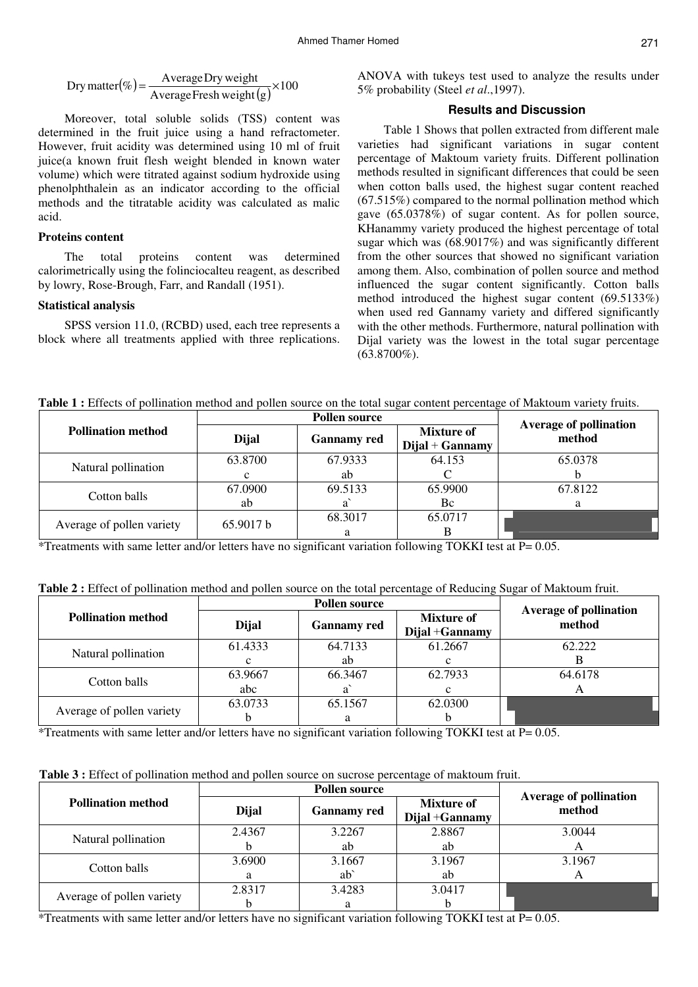$$
Dry matter(\%) = \frac{Average Dry weight}{Average Fresh weight(g)} \times 100
$$

Moreover, total soluble solids (TSS) content was determined in the fruit juice using a hand refractometer. However, fruit acidity was determined using 10 ml of fruit juice(a known fruit flesh weight blended in known water volume) which were titrated against sodium hydroxide using phenolphthalein as an indicator according to the official methods and the titratable acidity was calculated as malic acid.

# **Proteins content**

The total proteins content was determined calorimetrically using the folinciocalteu reagent, as described by lowry, Rose-Brough, Farr, and Randall (1951).

# **Statistical analysis**

SPSS version 11.0, (RCBD) used, each tree represents a block where all treatments applied with three replications.

ANOVA with tukeys test used to analyze the results under 5% probability (Steel *et al*.,1997).

# **Results and Discussion**

Table 1 Shows that pollen extracted from different male varieties had significant variations in sugar content percentage of Maktoum variety fruits. Different pollination methods resulted in significant differences that could be seen when cotton balls used, the highest sugar content reached (67.515%) compared to the normal pollination method which gave (65.0378%) of sugar content. As for pollen source, KHanammy variety produced the highest percentage of total sugar which was (68.9017%) and was significantly different from the other sources that showed no significant variation among them. Also, combination of pollen source and method influenced the sugar content significantly. Cotton balls method introduced the highest sugar content (69.5133%) when used red Gannamy variety and differed significantly with the other methods. Furthermore, natural pollination with Dijal variety was the lowest in the total sugar percentage  $(63.8700\%)$ .

Table 1 : Effects of pollination method and pollen source on the total sugar content percentage of Maktoum variety fruits.

|                           |           | <b>Pollen source</b> | <b>Average of pollination</b>          |         |
|---------------------------|-----------|----------------------|----------------------------------------|---------|
| <b>Pollination method</b> | Dijal     | <b>Gannamy red</b>   | <b>Mixture of</b><br>$Dijal + Gannamy$ | method  |
|                           | 63.8700   | 67.9333              | 64.153                                 | 65.0378 |
| Natural pollination       |           | ab                   |                                        |         |
| Cotton balls              | 67.0900   | 69.5133              | 65.9900                                | 67.8122 |
|                           | ab        |                      | Bc                                     |         |
|                           | 65.9017 b | 68.3017              | 65.0717                                |         |
| Average of pollen variety |           | a                    |                                        |         |

\*Treatments with same letter and/or letters have no significant variation following TOKKI test at P= 0.05.

| Table 2 : Effect of pollination method and pollen source on the total percentage of Reducing Sugar of Maktoum fruit. |  |  |
|----------------------------------------------------------------------------------------------------------------------|--|--|
|----------------------------------------------------------------------------------------------------------------------|--|--|

|                           |         | <b>Pollen source</b> |                                      |                                         |
|---------------------------|---------|----------------------|--------------------------------------|-----------------------------------------|
| <b>Pollination method</b> | Dijal   | <b>Gannamy red</b>   | <b>Mixture of</b><br>Dijal + Gannamy | <b>Average of pollination</b><br>method |
| Natural pollination       | 61.4333 | 64.7133              | 61.2667                              | 62.222                                  |
|                           | c       | ab                   |                                      |                                         |
| Cotton balls              | 63.9667 | 66.3467              | 62.7933                              | 64.6178                                 |
|                           | abc     |                      |                                      |                                         |
|                           | 63.0733 | 65.1567              | 62.0300                              |                                         |
| Average of pollen variety |         |                      |                                      |                                         |

\*Treatments with same letter and/or letters have no significant variation following TOKKI test at P= 0.05.

**Table 3 :** Effect of pollination method and pollen source on sucrose percentage of maktoum fruit.

|                           |        | <b>Pollen source</b> | <b>Average of pollination</b>        |        |
|---------------------------|--------|----------------------|--------------------------------------|--------|
| <b>Pollination method</b> | Dijal  | <b>Gannamy red</b>   | <b>Mixture of</b><br>Dijal + Gannamy | method |
| Natural pollination       | 2.4367 | 3.2267               | 2.8867                               | 3.0044 |
|                           |        | ab                   | ab                                   |        |
| Cotton balls              | 3.6900 | 3.1667               | 3.1967                               | 3.1967 |
|                           |        | $ab^{\dagger}$       | ab                                   |        |
|                           | 2.8317 | 3.4283               | 3.0417                               |        |
| Average of pollen variety |        | a                    |                                      |        |

\*Treatments with same letter and/or letters have no significant variation following TOKKI test at P= 0.05.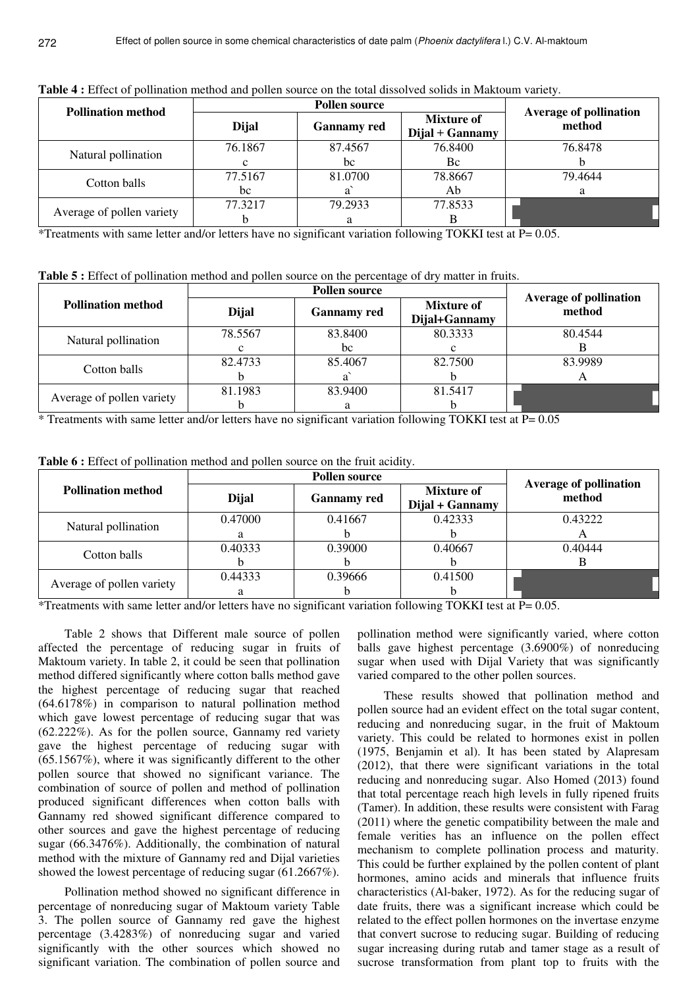| <b>Pollination method</b> |              | <b>Average of pollination</b> |                                        |         |  |
|---------------------------|--------------|-------------------------------|----------------------------------------|---------|--|
|                           | <b>Dijal</b> | <b>Gannamy red</b>            | <b>Mixture of</b><br>$Dijal + Gannamy$ | method  |  |
| Natural pollination       | 76.1867      | 87.4567                       | 76.8400                                | 76.8478 |  |
|                           |              | bc                            | Bc                                     |         |  |
| Cotton balls              | 77.5167      | 81.0700                       | 78.8667                                | 79.4644 |  |
|                           | bc           |                               | Ab                                     |         |  |
|                           | 77.3217      | 79.2933                       | 77.8533                                |         |  |
| Average of pollen variety |              |                               |                                        |         |  |

**Table 4 :** Effect of pollination method and pollen source on the total dissolved solids in Maktoum variety.

\*Treatments with same letter and/or letters have no significant variation following TOKKI test at P= 0.05.

**Table 5 :** Effect of pollination method and pollen source on the percentage of dry matter in fruits.

| <b>Pollination method</b> | <b>Dijal</b> | <b>Gannamy red</b> | <b>Mixture of</b><br>Dijal+Gannamy | <b>Average of pollination</b><br>method |
|---------------------------|--------------|--------------------|------------------------------------|-----------------------------------------|
| Natural pollination       | 78.5567      | 83.8400            | 80.3333                            | 80.4544                                 |
|                           | с            | bc                 |                                    |                                         |
| Cotton balls              | 82.4733      | 85.4067            | 82.7500                            | 83.9989                                 |
|                           |              |                    |                                    |                                         |
|                           | 81.1983      | 83.9400            | 81.5417                            |                                         |
| Average of pollen variety |              | a                  |                                    |                                         |

\* Treatments with same letter and/or letters have no significant variation following TOKKI test at P= 0.05

|  |  |  |  | Table 6 : Effect of pollination method and pollen source on the fruit acidity. |  |  |  |  |  |  |  |
|--|--|--|--|--------------------------------------------------------------------------------|--|--|--|--|--|--|--|
|--|--|--|--|--------------------------------------------------------------------------------|--|--|--|--|--|--|--|

|                           |         | <b>Average of pollination</b> |                                      |         |
|---------------------------|---------|-------------------------------|--------------------------------------|---------|
| <b>Pollination method</b> | Dijal   | <b>Gannamy red</b>            | <b>Mixture of</b><br>Dijal + Gannamy | method  |
| Natural pollination       | 0.47000 | 0.41667                       | 0.42333                              | 0.43222 |
|                           | a       |                               |                                      | A       |
| Cotton balls              | 0.40333 | 0.39000                       | 0.40667                              | 0.40444 |
|                           |         |                               |                                      |         |
|                           | 0.44333 | 0.39666                       | 0.41500                              |         |
| Average of pollen variety | а       |                               |                                      |         |

\*Treatments with same letter and/or letters have no significant variation following TOKKI test at P= 0.05.

Table 2 shows that Different male source of pollen affected the percentage of reducing sugar in fruits of Maktoum variety. In table 2, it could be seen that pollination method differed significantly where cotton balls method gave the highest percentage of reducing sugar that reached (64.6178%) in comparison to natural pollination method which gave lowest percentage of reducing sugar that was (62.222%). As for the pollen source, Gannamy red variety gave the highest percentage of reducing sugar with (65.1567%), where it was significantly different to the other pollen source that showed no significant variance. The combination of source of pollen and method of pollination produced significant differences when cotton balls with Gannamy red showed significant difference compared to other sources and gave the highest percentage of reducing sugar (66.3476%). Additionally, the combination of natural method with the mixture of Gannamy red and Dijal varieties showed the lowest percentage of reducing sugar (61.2667%).

Pollination method showed no significant difference in percentage of nonreducing sugar of Maktoum variety Table 3. The pollen source of Gannamy red gave the highest percentage (3.4283%) of nonreducing sugar and varied significantly with the other sources which showed no significant variation. The combination of pollen source and pollination method were significantly varied, where cotton balls gave highest percentage (3.6900%) of nonreducing sugar when used with Dijal Variety that was significantly varied compared to the other pollen sources.

These results showed that pollination method and pollen source had an evident effect on the total sugar content, reducing and nonreducing sugar, in the fruit of Maktoum variety. This could be related to hormones exist in pollen (1975, Benjamin et al). It has been stated by Alapresam (2012), that there were significant variations in the total reducing and nonreducing sugar. Also Homed (2013) found that total percentage reach high levels in fully ripened fruits (Tamer). In addition, these results were consistent with Farag (2011) where the genetic compatibility between the male and female verities has an influence on the pollen effect mechanism to complete pollination process and maturity. This could be further explained by the pollen content of plant hormones, amino acids and minerals that influence fruits characteristics (Al-baker, 1972). As for the reducing sugar of date fruits, there was a significant increase which could be related to the effect pollen hormones on the invertase enzyme that convert sucrose to reducing sugar. Building of reducing sugar increasing during rutab and tamer stage as a result of sucrose transformation from plant top to fruits with the